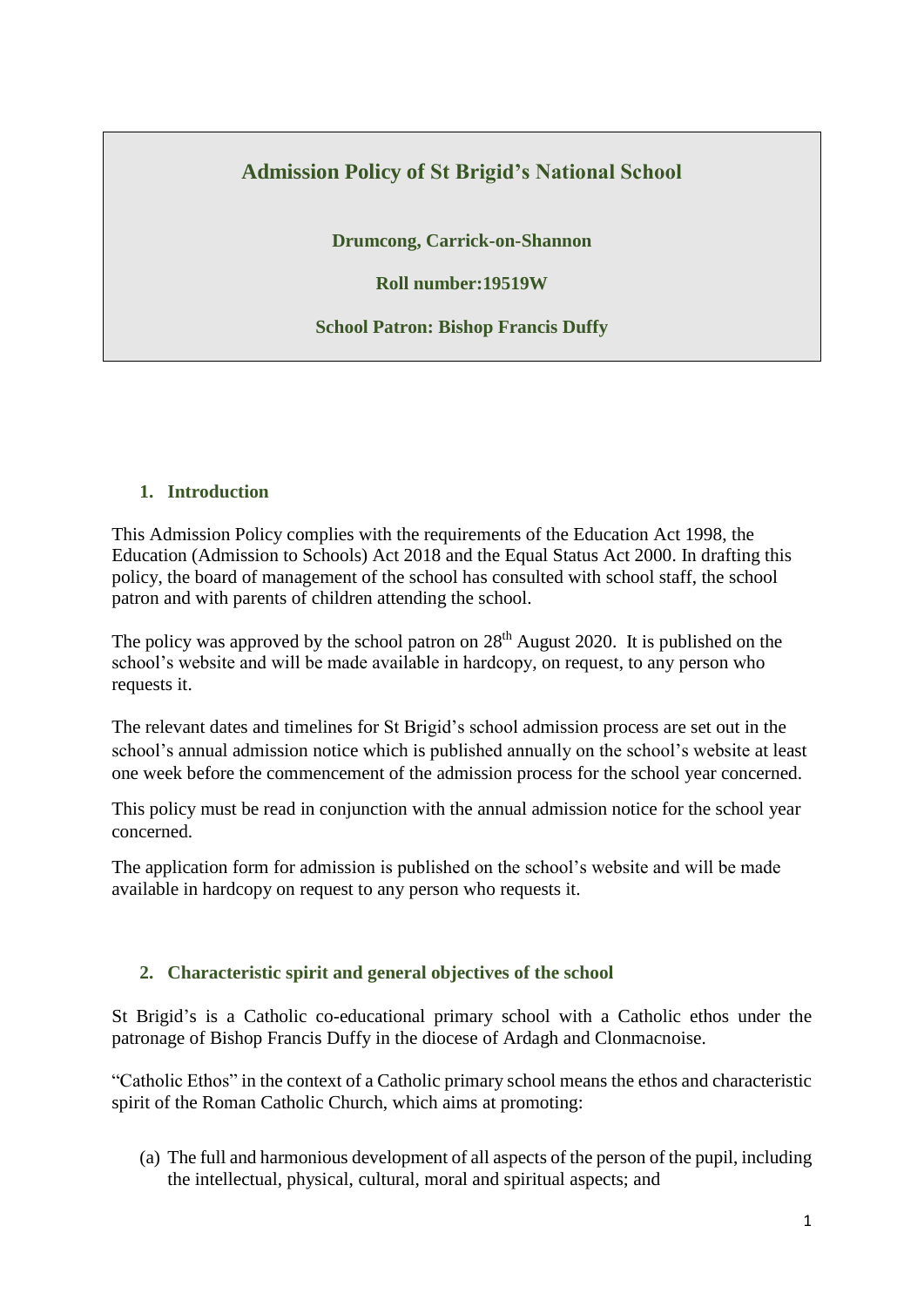# **Admission Policy of St Brigid's National School**

**Drumcong, Carrick-on-Shannon**

**Roll number:19519W**

**School Patron: Bishop Francis Duffy**

#### **1. Introduction**

This Admission Policy complies with the requirements of the Education Act 1998, the Education (Admission to Schools) Act 2018 and the Equal Status Act 2000. In drafting this policy, the board of management of the school has consulted with school staff, the school patron and with parents of children attending the school.

The policy was approved by the school patron on  $28<sup>th</sup>$  August 2020. It is published on the school's website and will be made available in hardcopy, on request, to any person who requests it.

The relevant dates and timelines for St Brigid's school admission process are set out in the school's annual admission notice which is published annually on the school's website at least one week before the commencement of the admission process for the school year concerned.

This policy must be read in conjunction with the annual admission notice for the school year concerned.

The application form for admission is published on the school's website and will be made available in hardcopy on request to any person who requests it.

### **2. Characteristic spirit and general objectives of the school**

St Brigid's is a Catholic co-educational primary school with a Catholic ethos under the patronage of Bishop Francis Duffy in the diocese of Ardagh and Clonmacnoise.

"Catholic Ethos" in the context of a Catholic primary school means the ethos and characteristic spirit of the Roman Catholic Church, which aims at promoting:

(a) The full and harmonious development of all aspects of the person of the pupil, including the intellectual, physical, cultural, moral and spiritual aspects; and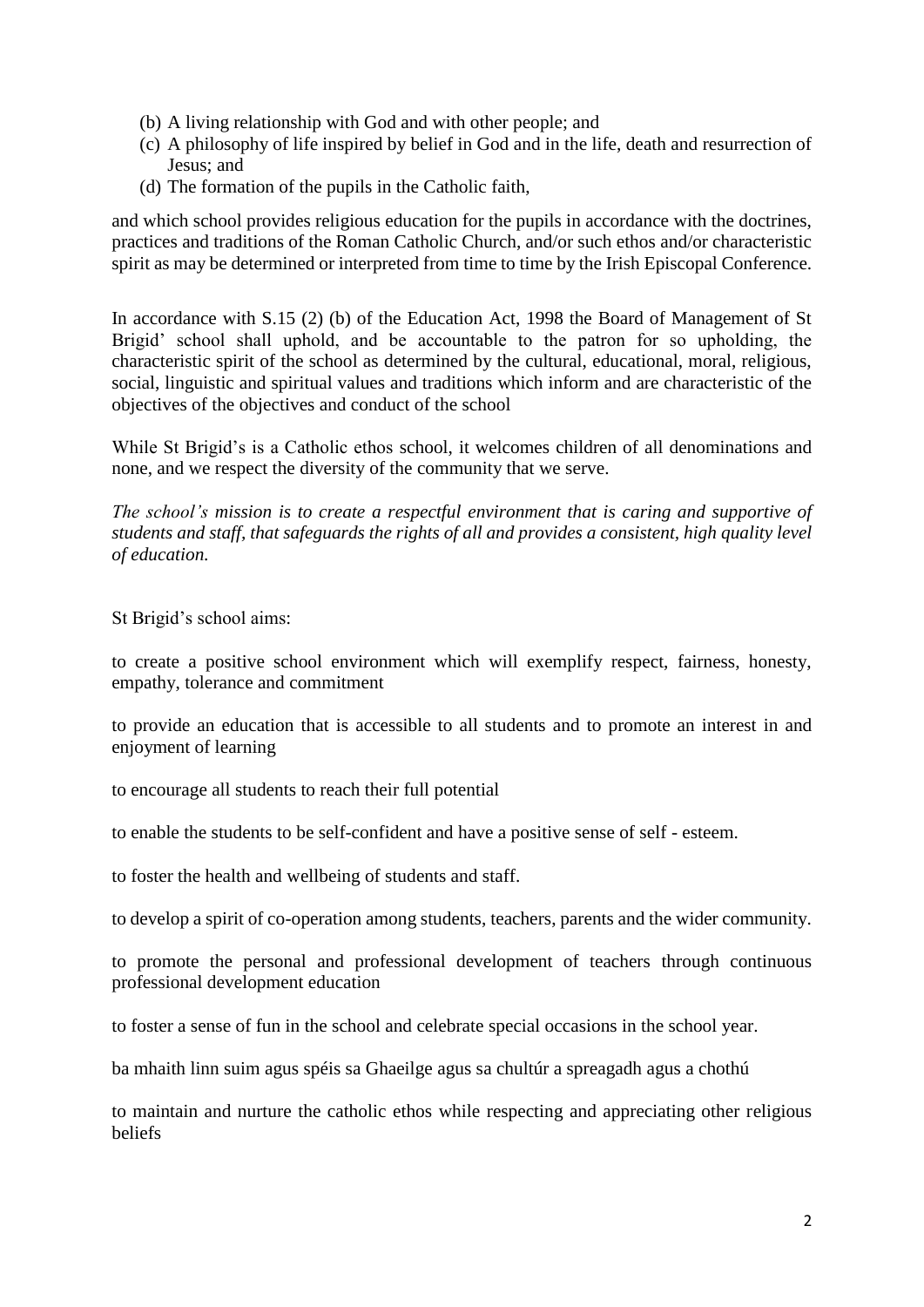- (b) A living relationship with God and with other people; and
- (c) A philosophy of life inspired by belief in God and in the life, death and resurrection of Jesus; and
- (d) The formation of the pupils in the Catholic faith,

and which school provides religious education for the pupils in accordance with the doctrines, practices and traditions of the Roman Catholic Church, and/or such ethos and/or characteristic spirit as may be determined or interpreted from time to time by the Irish Episcopal Conference.

In accordance with S.15 (2) (b) of the Education Act, 1998 the Board of Management of St Brigid' school shall uphold, and be accountable to the patron for so upholding, the characteristic spirit of the school as determined by the cultural, educational, moral, religious, social, linguistic and spiritual values and traditions which inform and are characteristic of the objectives of the objectives and conduct of the school

While St Brigid's is a Catholic ethos school, it welcomes children of all denominations and none, and we respect the diversity of the community that we serve.

*The school's mission is to create a respectful environment that is caring and supportive of students and staff, that safeguards the rights of all and provides a consistent, high quality level of education.*

St Brigid's school aims:

to create a positive school environment which will exemplify respect, fairness, honesty, empathy, tolerance and commitment

to provide an education that is accessible to all students and to promote an interest in and enjoyment of learning

to encourage all students to reach their full potential

to enable the students to be self-confident and have a positive sense of self - esteem.

to foster the health and wellbeing of students and staff.

to develop a spirit of co-operation among students, teachers, parents and the wider community.

to promote the personal and professional development of teachers through continuous professional development education

to foster a sense of fun in the school and celebrate special occasions in the school year.

ba mhaith linn suim agus spéis sa Ghaeilge agus sa chultúr a spreagadh agus a chothú

to maintain and nurture the catholic ethos while respecting and appreciating other religious beliefs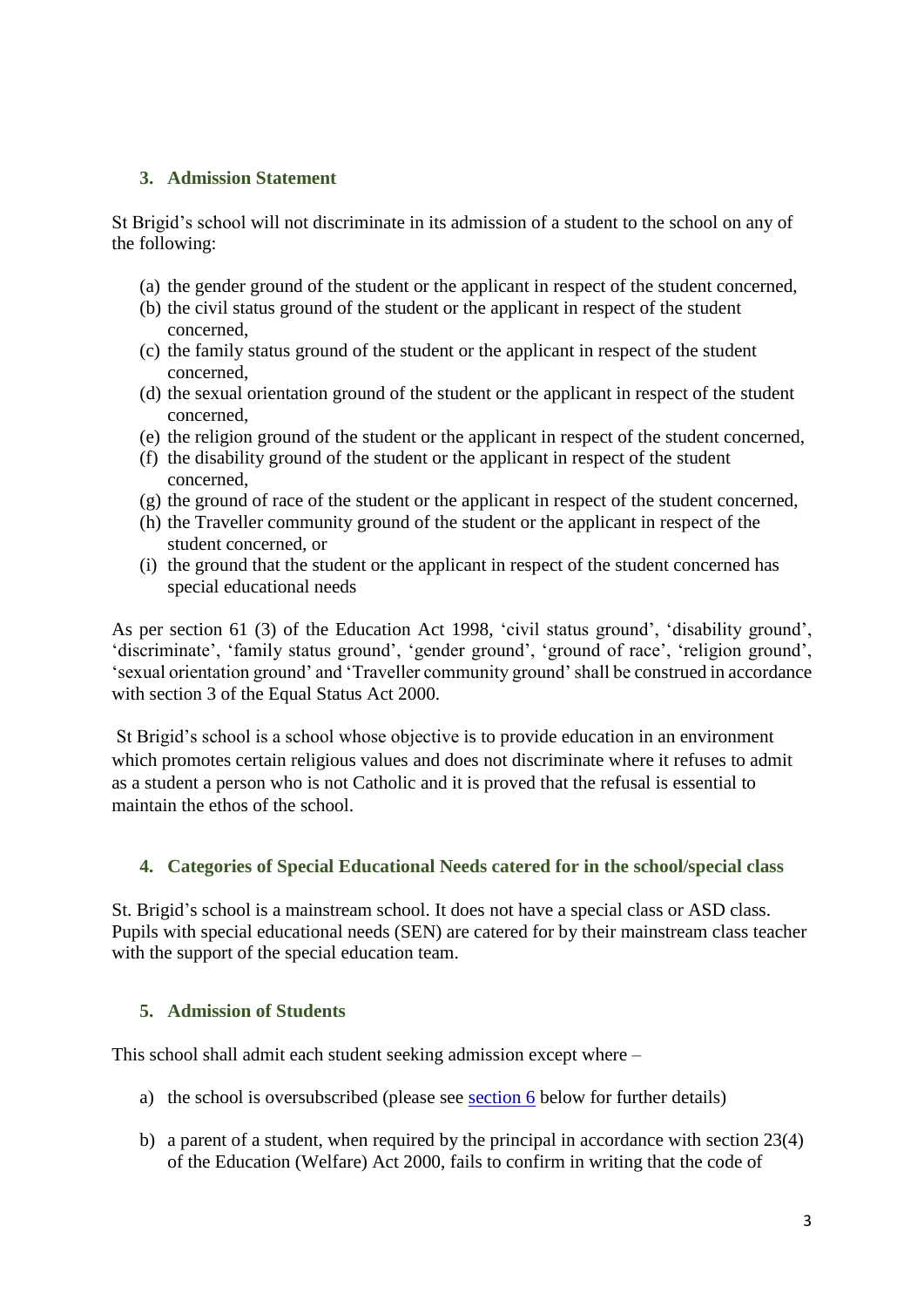### **3. Admission Statement**

St Brigid's school will not discriminate in its admission of a student to the school on any of the following:

- (a) the gender ground of the student or the applicant in respect of the student concerned,
- (b) the civil status ground of the student or the applicant in respect of the student concerned,
- (c) the family status ground of the student or the applicant in respect of the student concerned,
- (d) the sexual orientation ground of the student or the applicant in respect of the student concerned,
- (e) the religion ground of the student or the applicant in respect of the student concerned,
- (f) the disability ground of the student or the applicant in respect of the student concerned,
- (g) the ground of race of the student or the applicant in respect of the student concerned,
- (h) the Traveller community ground of the student or the applicant in respect of the student concerned, or
- (i) the ground that the student or the applicant in respect of the student concerned has special educational needs

As per section 61 (3) of the Education Act 1998, 'civil status ground', 'disability ground', 'discriminate', 'family status ground', 'gender ground', 'ground of race', 'religion ground', 'sexual orientation ground' and 'Traveller community ground' shall be construed in accordance with section 3 of the Equal Status Act 2000.

St Brigid's school is a school whose objective is to provide education in an environment which promotes certain religious values and does not discriminate where it refuses to admit as a student a person who is not Catholic and it is proved that the refusal is essential to maintain the ethos of the school.

### **4. Categories of Special Educational Needs catered for in the school/special class**

St. Brigid's school is a mainstream school. It does not have a special class or ASD class. Pupils with special educational needs (SEN) are catered for by their mainstream class teacher with the support of the special education team.

### **5. Admission of Students**

This school shall admit each student seeking admission except where –

- a) the school is oversubscribed (please see [section 6](#page-3-0) below for further details)
- b) a parent of a student, when required by the principal in accordance with section 23(4) of the Education (Welfare) Act 2000, fails to confirm in writing that the code of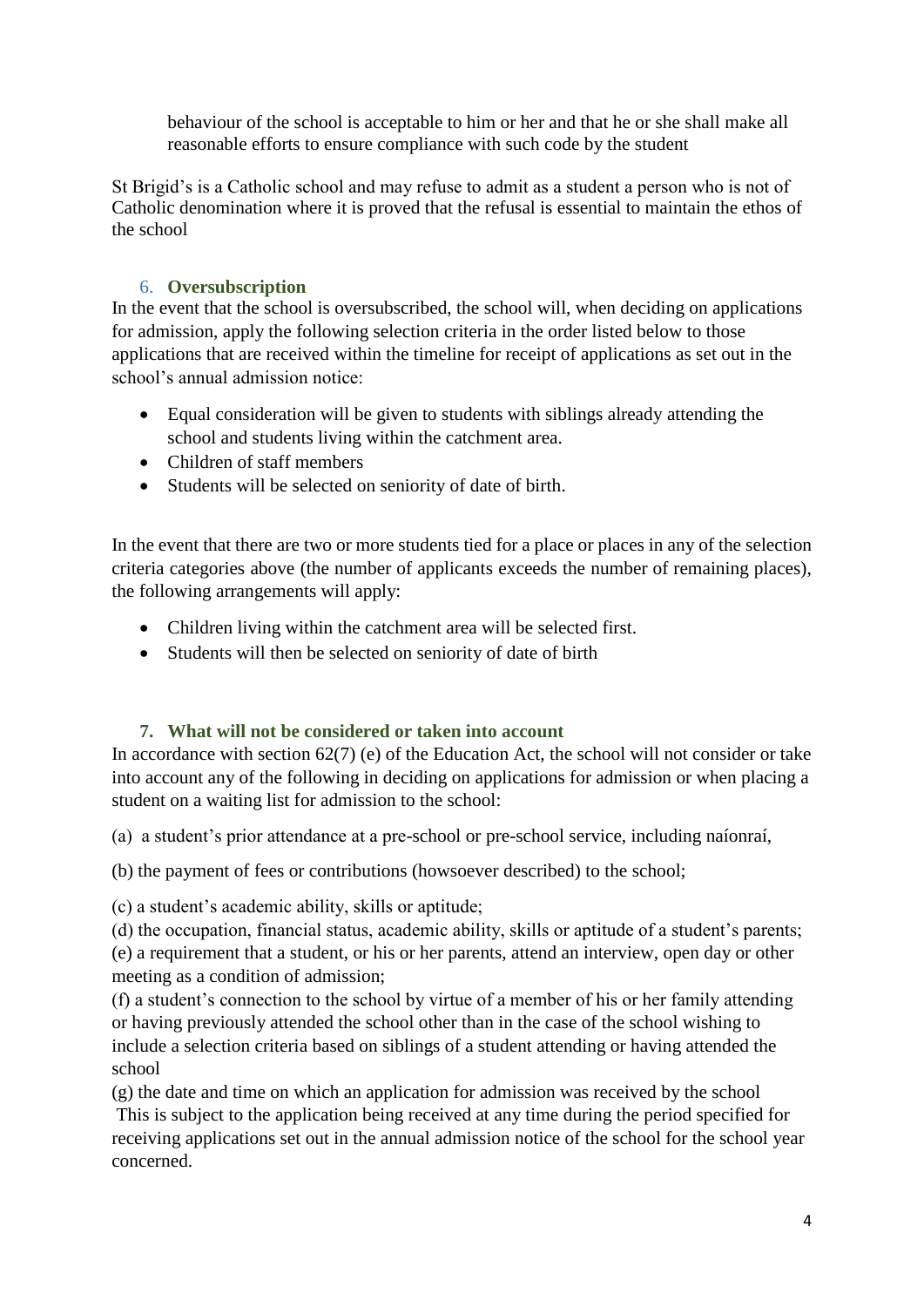behaviour of the school is acceptable to him or her and that he or she shall make all reasonable efforts to ensure compliance with such code by the student

St Brigid's is a Catholic school and may refuse to admit as a student a person who is not of Catholic denomination where it is proved that the refusal is essential to maintain the ethos of the school

# 6. **Oversubscription**

<span id="page-3-0"></span>In the event that the school is oversubscribed, the school will, when deciding on applications for admission, apply the following selection criteria in the order listed below to those applications that are received within the timeline for receipt of applications as set out in the school's annual admission notice:

- Equal consideration will be given to students with siblings already attending the school and students living within the catchment area.
- Children of staff members
- Students will be selected on seniority of date of birth.

In the event that there are two or more students tied for a place or places in any of the selection criteria categories above (the number of applicants exceeds the number of remaining places), the following arrangements will apply:

- Children living within the catchment area will be selected first.
- Students will then be selected on seniority of date of birth

### **7. What will not be considered or taken into account**

In accordance with section 62(7) (e) of the Education Act, the school will not consider or take into account any of the following in deciding on applications for admission or when placing a student on a waiting list for admission to the school:

(a) a student's prior attendance at a pre-school or pre-school service, including naíonraí,

(b) the payment of fees or contributions (howsoever described) to the school;

(c) a student's academic ability, skills or aptitude;

(d) the occupation, financial status, academic ability, skills or aptitude of a student's parents; (e) a requirement that a student, or his or her parents, attend an interview, open day or other meeting as a condition of admission;

(f) a student's connection to the school by virtue of a member of his or her family attending or having previously attended the school other than in the case of the school wishing to include a selection criteria based on siblings of a student attending or having attended the school

(g) the date and time on which an application for admission was received by the school This is subject to the application being received at any time during the period specified for receiving applications set out in the annual admission notice of the school for the school year concerned.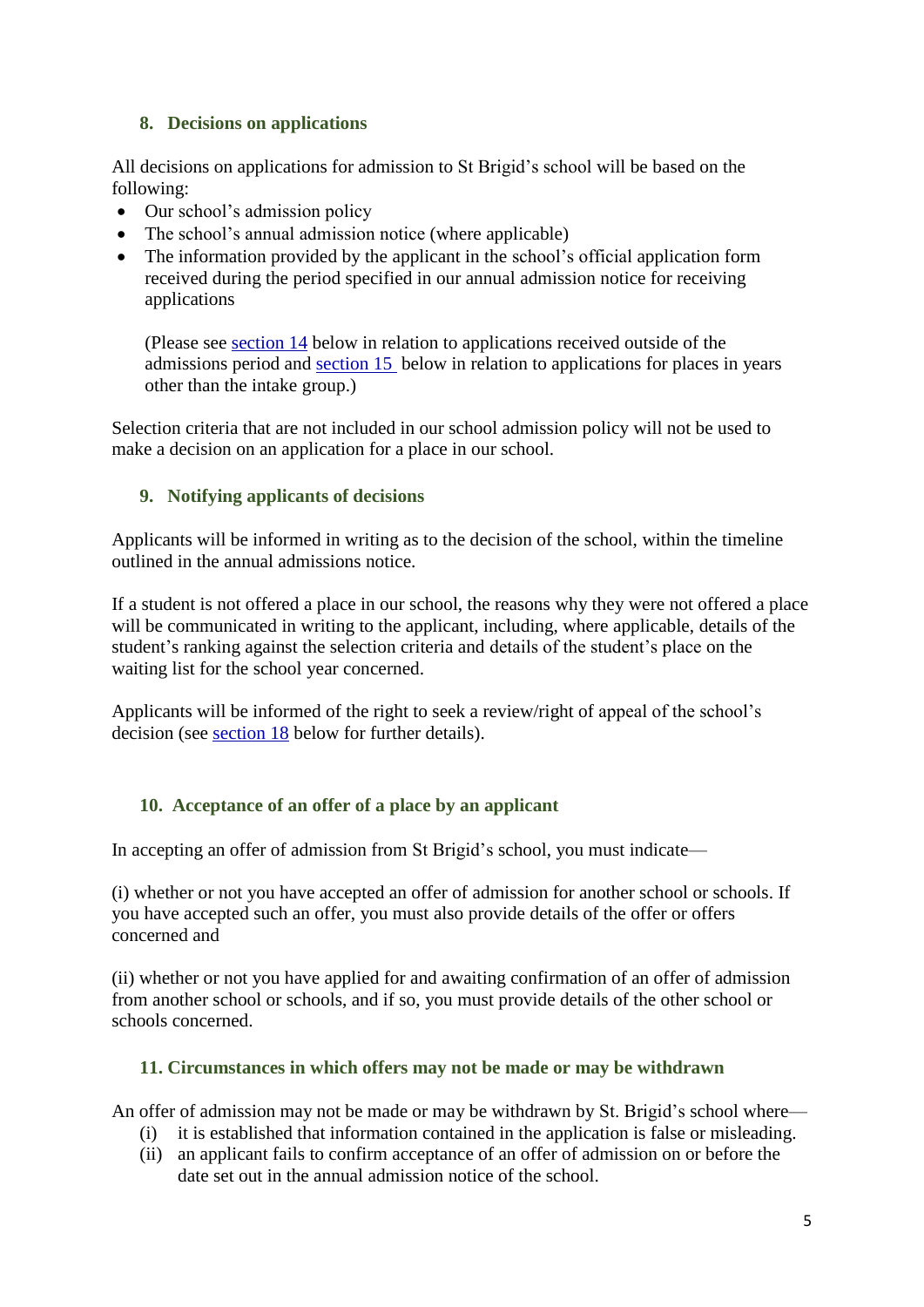# **8. Decisions on applications**

All decisions on applications for admission to St Brigid's school will be based on the following:

- Our school's admission policy
- The school's annual admission notice (where applicable)
- The information provided by the applicant in the school's official application form received during the period specified in our annual admission notice for receiving applications

(Please see [section 14](#page-6-0) below in relation to applications received outside of the admissions period and [section 15](#page-7-0) below in relation to applications for places in years other than the intake group.)

Selection criteria that are not included in our school admission policy will not be used to make a decision on an application for a place in our school.

# **9. Notifying applicants of decisions**

Applicants will be informed in writing as to the decision of the school, within the timeline outlined in the annual admissions notice.

If a student is not offered a place in our school, the reasons why they were not offered a place will be communicated in writing to the applicant, including, where applicable, details of the student's ranking against the selection criteria and details of the student's place on the waiting list for the school year concerned.

Applicants will be informed of the right to seek a review/right of appeal of the school's decision (see [section 18](#page-7-1) below for further details).

# <span id="page-4-0"></span>**10. Acceptance of an offer of a place by an applicant**

In accepting an offer of admission from St Brigid's school, you must indicate—

(i) whether or not you have accepted an offer of admission for another school or schools. If you have accepted such an offer, you must also provide details of the offer or offers concerned and

(ii) whether or not you have applied for and awaiting confirmation of an offer of admission from another school or schools, and if so, you must provide details of the other school or schools concerned.

### **11. Circumstances in which offers may not be made or may be withdrawn**

An offer of admission may not be made or may be withdrawn by St. Brigid's school where—

- (i) it is established that information contained in the application is false or misleading.
- (ii) an applicant fails to confirm acceptance of an offer of admission on or before the date set out in the annual admission notice of the school.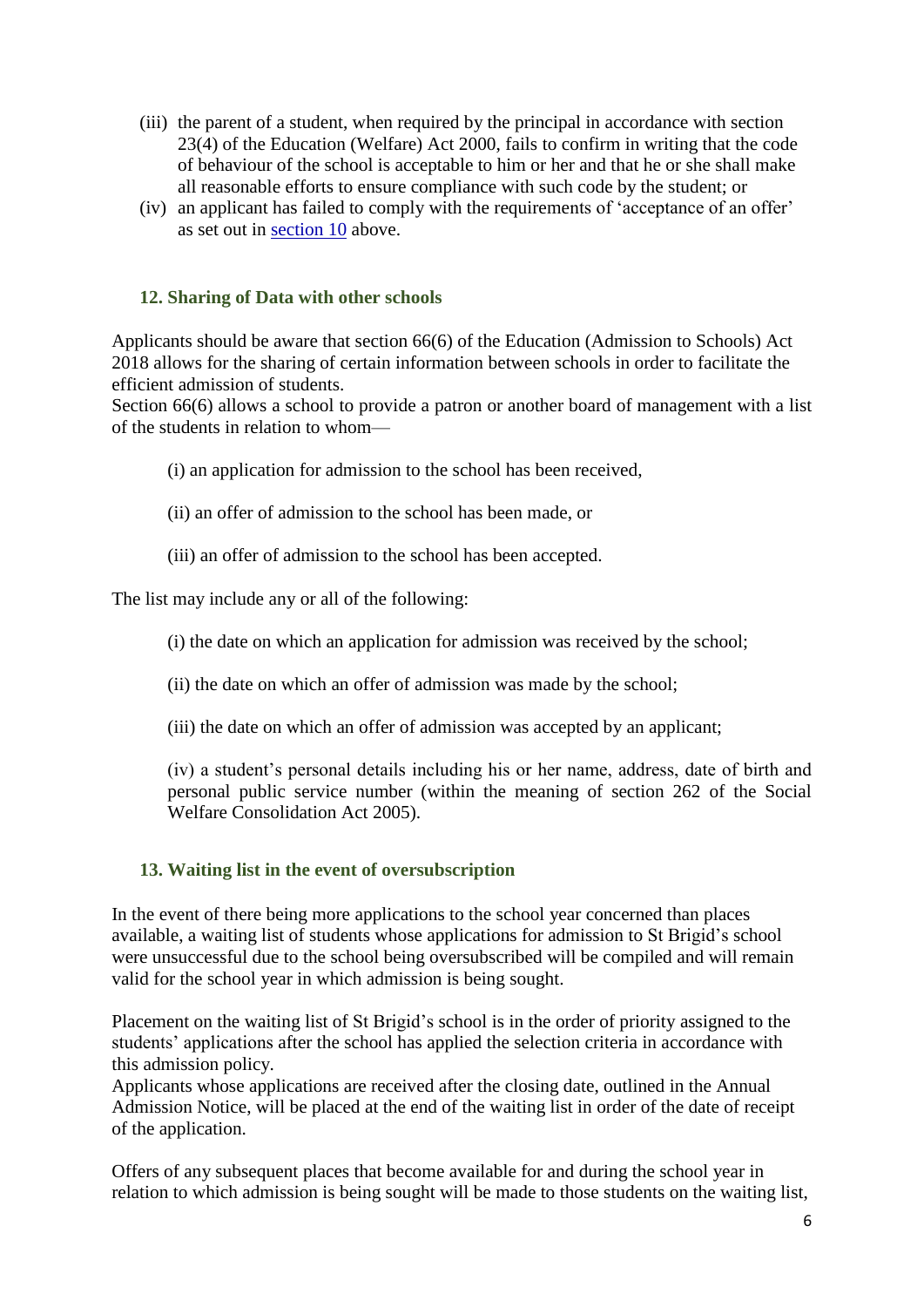- (iii) the parent of a student, when required by the principal in accordance with section 23(4) of the Education (Welfare) Act 2000, fails to confirm in writing that the code of behaviour of the school is acceptable to him or her and that he or she shall make all reasonable efforts to ensure compliance with such code by the student; or
- (iv) an applicant has failed to comply with the requirements of 'acceptance of an offer' as set out in [section 10](#page-4-0) above.

#### **12. Sharing of Data with other schools**

Applicants should be aware that section 66(6) of the Education (Admission to Schools) Act 2018 allows for the sharing of certain information between schools in order to facilitate the efficient admission of students.

Section 66(6) allows a school to provide a patron or another board of management with a list of the students in relation to whom—

- (i) an application for admission to the school has been received,
- (ii) an offer of admission to the school has been made, or
- (iii) an offer of admission to the school has been accepted.

The list may include any or all of the following:

- (i) the date on which an application for admission was received by the school;
- (ii) the date on which an offer of admission was made by the school;
- (iii) the date on which an offer of admission was accepted by an applicant;

(iv) a student's personal details including his or her name, address, date of birth and personal public service number (within the meaning of section 262 of the Social Welfare Consolidation Act 2005).

#### **13. Waiting list in the event of oversubscription**

In the event of there being more applications to the school year concerned than places available, a waiting list of students whose applications for admission to St Brigid's school were unsuccessful due to the school being oversubscribed will be compiled and will remain valid for the school year in which admission is being sought.

Placement on the waiting list of St Brigid's school is in the order of priority assigned to the students' applications after the school has applied the selection criteria in accordance with this admission policy.

Applicants whose applications are received after the closing date, outlined in the Annual Admission Notice, will be placed at the end of the waiting list in order of the date of receipt of the application.

Offers of any subsequent places that become available for and during the school year in relation to which admission is being sought will be made to those students on the waiting list,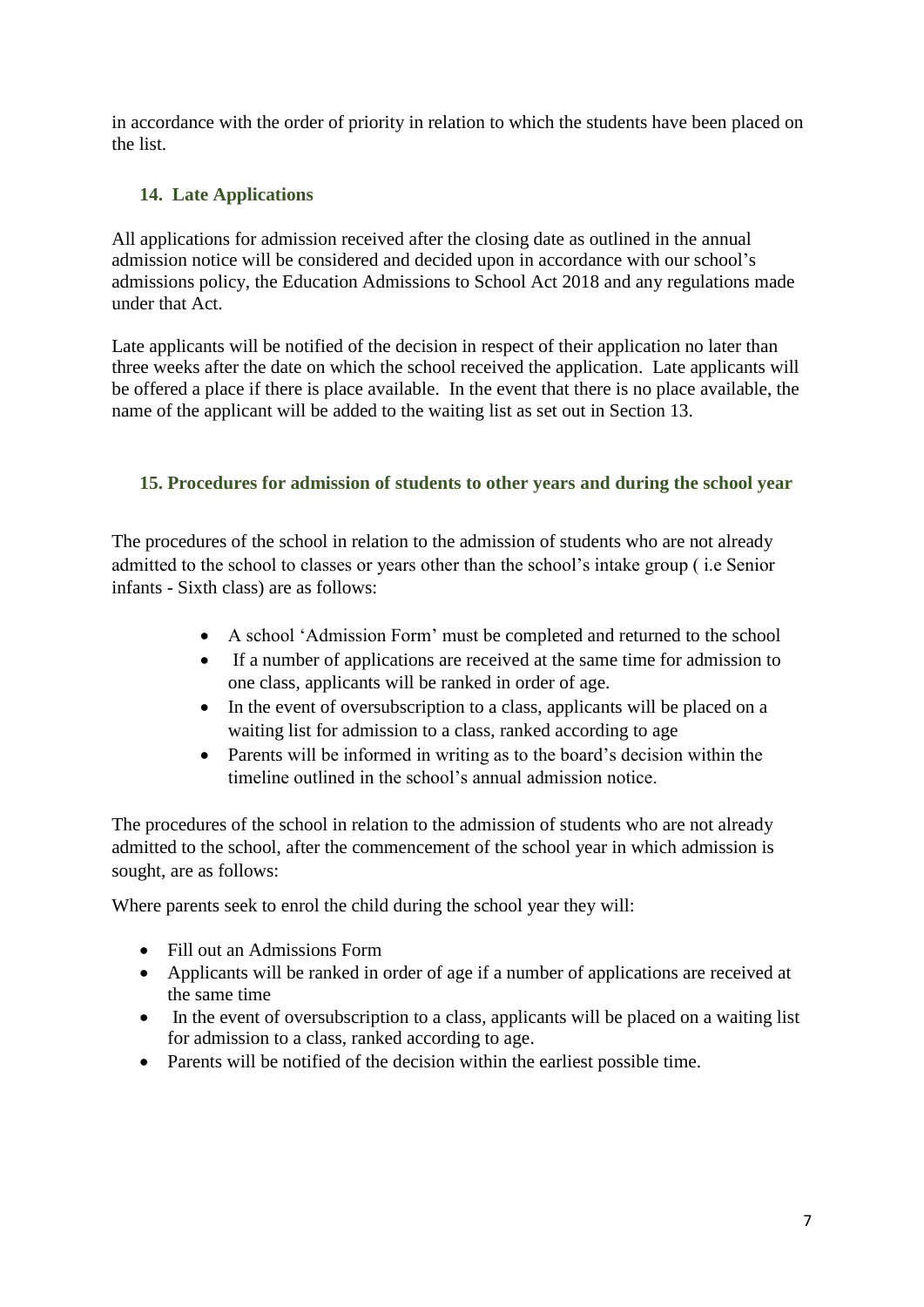in accordance with the order of priority in relation to which the students have been placed on the list.

# **14. Late Applications**

All applications for admission received after the closing date as outlined in the annual admission notice will be considered and decided upon in accordance with our school's admissions policy, the Education Admissions to School Act 2018 and any regulations made under that Act.

Late applicants will be notified of the decision in respect of their application no later than three weeks after the date on which the school received the application. Late applicants will be offered a place if there is place available. In the event that there is no place available, the name of the applicant will be added to the waiting list as set out in Section 13.

# <span id="page-6-0"></span>**15. Procedures for admission of students to other years and during the school year**

The procedures of the school in relation to the admission of students who are not already admitted to the school to classes or years other than the school's intake group ( i.e Senior infants - Sixth class) are as follows:

- A school 'Admission Form' must be completed and returned to the school
- If a number of applications are received at the same time for admission to one class, applicants will be ranked in order of age.
- In the event of oversubscription to a class, applicants will be placed on a waiting list for admission to a class, ranked according to age
- Parents will be informed in writing as to the board's decision within the timeline outlined in the school's annual admission notice.

The procedures of the school in relation to the admission of students who are not already admitted to the school, after the commencement of the school year in which admission is sought, are as follows:

Where parents seek to enrol the child during the school year they will:

- Fill out an Admissions Form
- Applicants will be ranked in order of age if a number of applications are received at the same time
- In the event of oversubscription to a class, applicants will be placed on a waiting list for admission to a class, ranked according to age.
- Parents will be notified of the decision within the earliest possible time.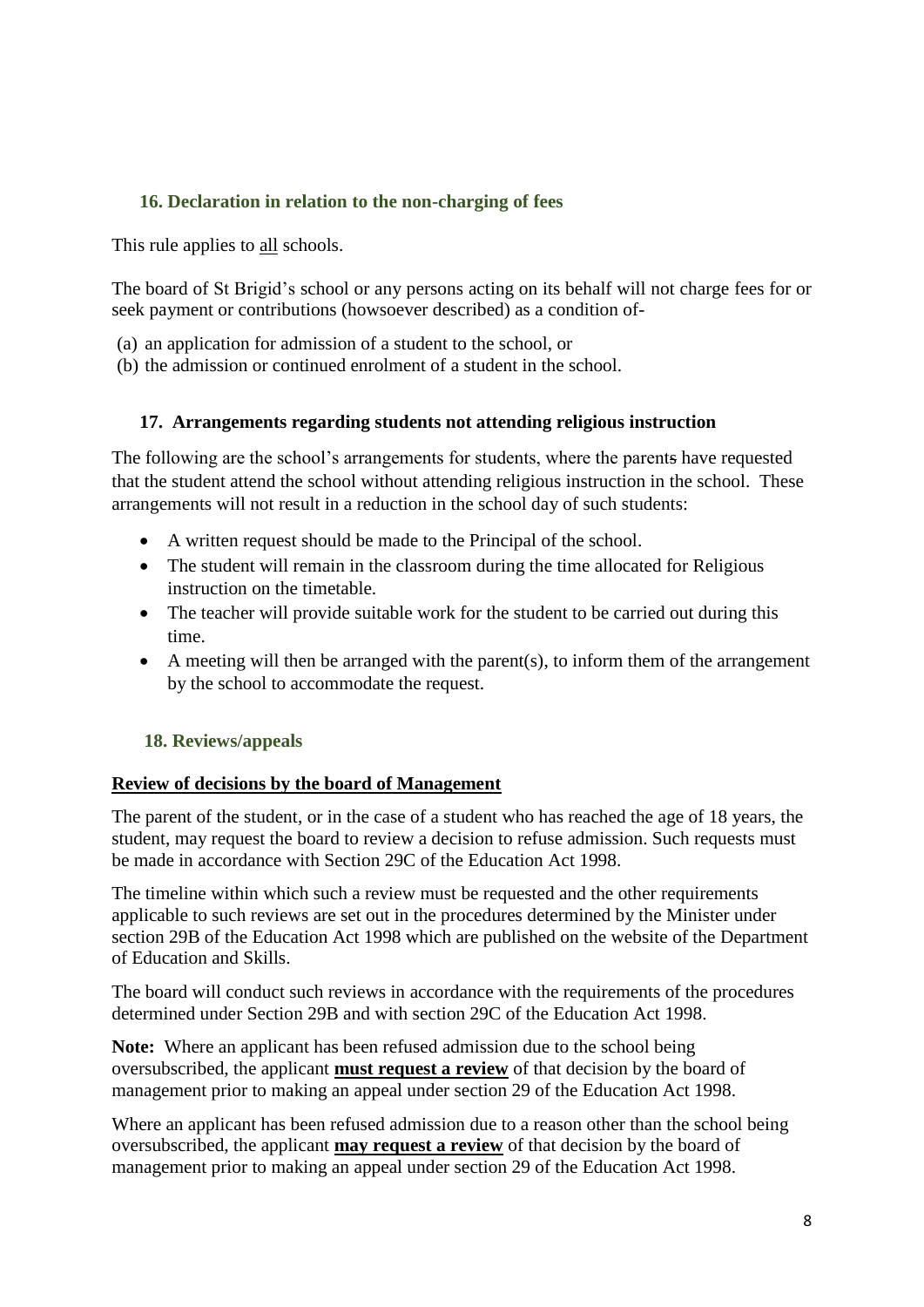# <span id="page-7-0"></span>**16. Declaration in relation to the non-charging of fees**

This rule applies to all schools.

The board of St Brigid's school or any persons acting on its behalf will not charge fees for or seek payment or contributions (howsoever described) as a condition of-

- (a) an application for admission of a student to the school, or
- (b) the admission or continued enrolment of a student in the school.

#### **17. Arrangements regarding students not attending religious instruction**

The following are the school's arrangements for students, where the parents have requested that the student attend the school without attending religious instruction in the school. These arrangements will not result in a reduction in the school day of such students:

- A written request should be made to the Principal of the school.
- The student will remain in the classroom during the time allocated for Religious instruction on the timetable.
- The teacher will provide suitable work for the student to be carried out during this time.
- A meeting will then be arranged with the parent(s), to inform them of the arrangement by the school to accommodate the request.

### <span id="page-7-1"></span> **18. Reviews/appeals**

#### **Review of decisions by the board of Management**

The parent of the student, or in the case of a student who has reached the age of 18 years, the student, may request the board to review a decision to refuse admission. Such requests must be made in accordance with Section 29C of the Education Act 1998.

The timeline within which such a review must be requested and the other requirements applicable to such reviews are set out in the procedures determined by the Minister under section 29B of the Education Act 1998 which are published on the website of the Department of Education and Skills.

The board will conduct such reviews in accordance with the requirements of the procedures determined under Section 29B and with section 29C of the Education Act 1998.

**Note:** Where an applicant has been refused admission due to the school being oversubscribed, the applicant **must request a review** of that decision by the board of management prior to making an appeal under section 29 of the Education Act 1998.

Where an applicant has been refused admission due to a reason other than the school being oversubscribed, the applicant **may request a review** of that decision by the board of management prior to making an appeal under section 29 of the Education Act 1998.